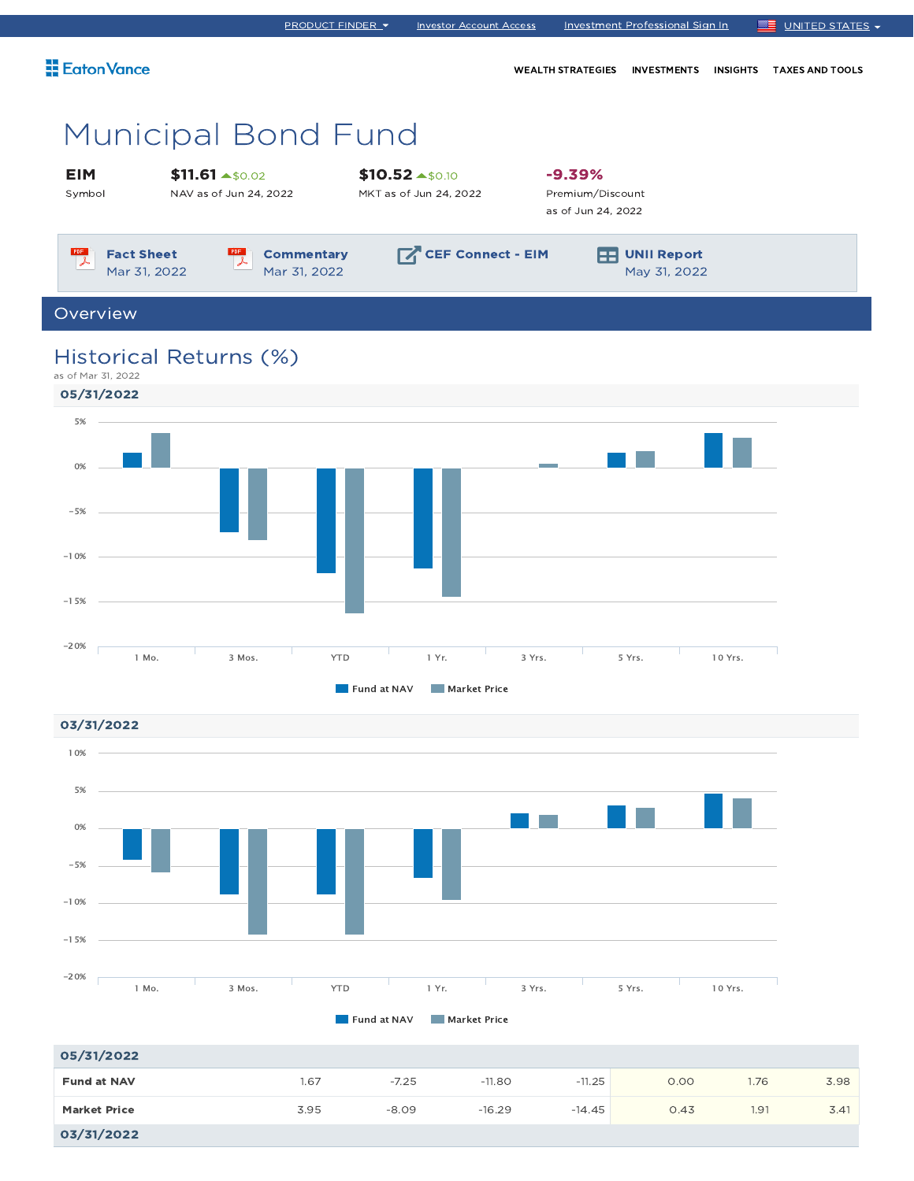|                                                                           | <b>PRODUCT FINDER ▼</b>           | <b>Investor Account Access</b>                       |                                                    | Investment Professional Sign In    |                 | ▆▆<br>UNITED STATES -  |
|---------------------------------------------------------------------------|-----------------------------------|------------------------------------------------------|----------------------------------------------------|------------------------------------|-----------------|------------------------|
| Eaton Vance                                                               |                                   |                                                      | <b>WEALTH STRATEGIES</b>                           | <b>INVESTMENTS</b>                 | <b>INSIGHTS</b> | <b>TAXES AND TOOLS</b> |
| <b>Municipal Bond Fund</b>                                                |                                   |                                                      |                                                    |                                    |                 |                        |
| $$11.61 \text{ A}50.02$<br><b>EIM</b><br>Symbol<br>NAV as of Jun 24, 2022 |                                   | $$10.52 \rightarrow $0.10$<br>MKT as of Jun 24, 2022 | $-9.39%$<br>Premium/Discount<br>as of Jun 24, 2022 |                                    |                 |                        |
| PDF<br>$\mathbb{P}^{\text{def}}$<br><b>Fact Sheet</b><br>Mar 31, 2022     | <b>Commentary</b><br>Mar 31, 2022 | CEF Connect - EIM                                    | EE                                                 | <b>UNII Report</b><br>May 31, 2022 |                 |                        |
| Overview                                                                  |                                   |                                                      |                                                    |                                    |                 |                        |
| Historical Returns (%)<br>as of Mar 31, 2022                              |                                   |                                                      |                                                    |                                    |                 |                        |





| 05/31/2022          |      |         |          |          |      |      |      |
|---------------------|------|---------|----------|----------|------|------|------|
| <b>Fund at NAV</b>  | 1.67 | $-7.25$ | $-11.80$ | $-11.25$ | 0.00 | 1.76 | 3.98 |
| <b>Market Price</b> | 3.95 | $-8.09$ | $-16.29$ | $-14.45$ | 0.43 | 1.91 | 3.41 |
| 03/31/2022          |      |         |          |          |      |      |      |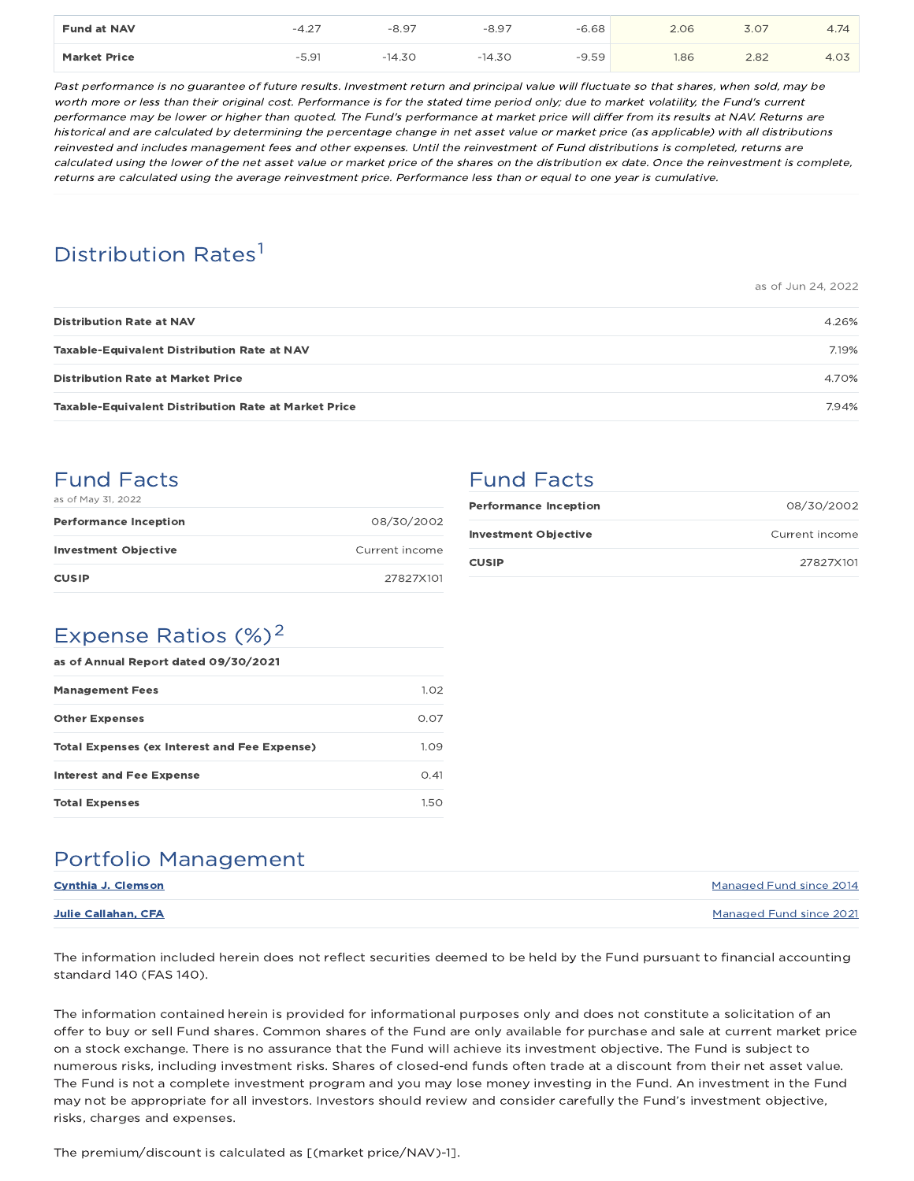| <b>Fund at NAV</b>  | $-4$ $2-$ | $-8.97$ | ◡        | $-6.68$ | 2 06 | $\sim$ $-$<br>.J.U | ─⊤                           |
|---------------------|-----------|---------|----------|---------|------|--------------------|------------------------------|
| <b>Market Price</b> | 91<br>$-$ | $-14.7$ | $-14.3C$ | $-9.59$ | 1.86 | 2.82               | $\sim$ $\rightarrow$<br>t.∪J |

Past performance is no guarantee of future results. Investment return and principal value will fluctuate so that shares, when sold, may be worth more or less than their original cost. Performance is for the stated time period only; due to market volatility, the Fund's current performance may be lower or higher than quoted. The Fund's performance at market price will differ from its results at NAV. Returns are historical and are calculated by determining the percentage change in net asset value or market price (as applicable) with all distributions reinvested and includes management fees and other expenses. Until the reinvestment of Fund distributions is completed, returns are calculated using the lower of the net asset value or market price of the shares on the distribution ex date. Once the reinvestment is complete, returns are calculated using the average reinvestment price. Performance less than or equal to one year is cumulative.

## Distribution Rates<sup>1</sup>

as of Jun 24, 2022

| <b>Distribution Rate at NAV</b>                             | 4.26% |
|-------------------------------------------------------------|-------|
| <b>Taxable-Equivalent Distribution Rate at NAV</b>          | 7.19% |
| <b>Distribution Rate at Market Price</b>                    | 4.70% |
| <b>Taxable-Equivalent Distribution Rate at Market Price</b> | 7.94% |

## Fund Facts

| as of May 31, 2022           |                |
|------------------------------|----------------|
| <b>Performance Inception</b> | 08/30/2002     |
| <b>Investment Objective</b>  | Current income |
| <b>CUSIP</b>                 | 27827X101      |

## Fund Facts

| <b>Performance Inception</b> | 08/30/2002     |
|------------------------------|----------------|
| <b>Investment Objective</b>  | Current income |
| <b>CUSIP</b>                 | 27827X101      |

### Expense Ratios  $(\%)^2$

| as of Annual Report dated 09/30/2021                |      |  |  |  |  |
|-----------------------------------------------------|------|--|--|--|--|
| <b>Management Fees</b>                              | 1.02 |  |  |  |  |
| <b>Other Expenses</b>                               | 0.07 |  |  |  |  |
| <b>Total Expenses (ex Interest and Fee Expense)</b> | 1.09 |  |  |  |  |
| Interest and Fee Expense                            | O.41 |  |  |  |  |
| <b>Total Expenses</b>                               | 150  |  |  |  |  |

## Portfolio Management

| <b>Cynthia J. Clemson</b> | Managed Fund since 2014 |
|---------------------------|-------------------------|
| Julie Callahan, CFA       | Managed Fund since 2021 |

The information included herein does not reflect securities deemed to be held by the Fund pursuant to financial accounting standard 140 (FAS 140).

The information contained herein is provided for informational purposes only and does not constitute a solicitation of an offer to buy or sell Fund shares. Common shares of the Fund are only available for purchase and sale at current market price on a stock exchange. There is no assurance that the Fund will achieve its investment objective. The Fund is subject to numerous risks, including investment risks. Shares of closed-end funds often trade at a discount from their net asset value. The Fund is not a complete investment program and you may lose money investing in the Fund. An investment in the Fund may not be appropriate for all investors. Investors should review and consider carefully the Fund's investment objective, risks, charges and expenses.

The premium/discount is calculated as [(market price/NAV)-1].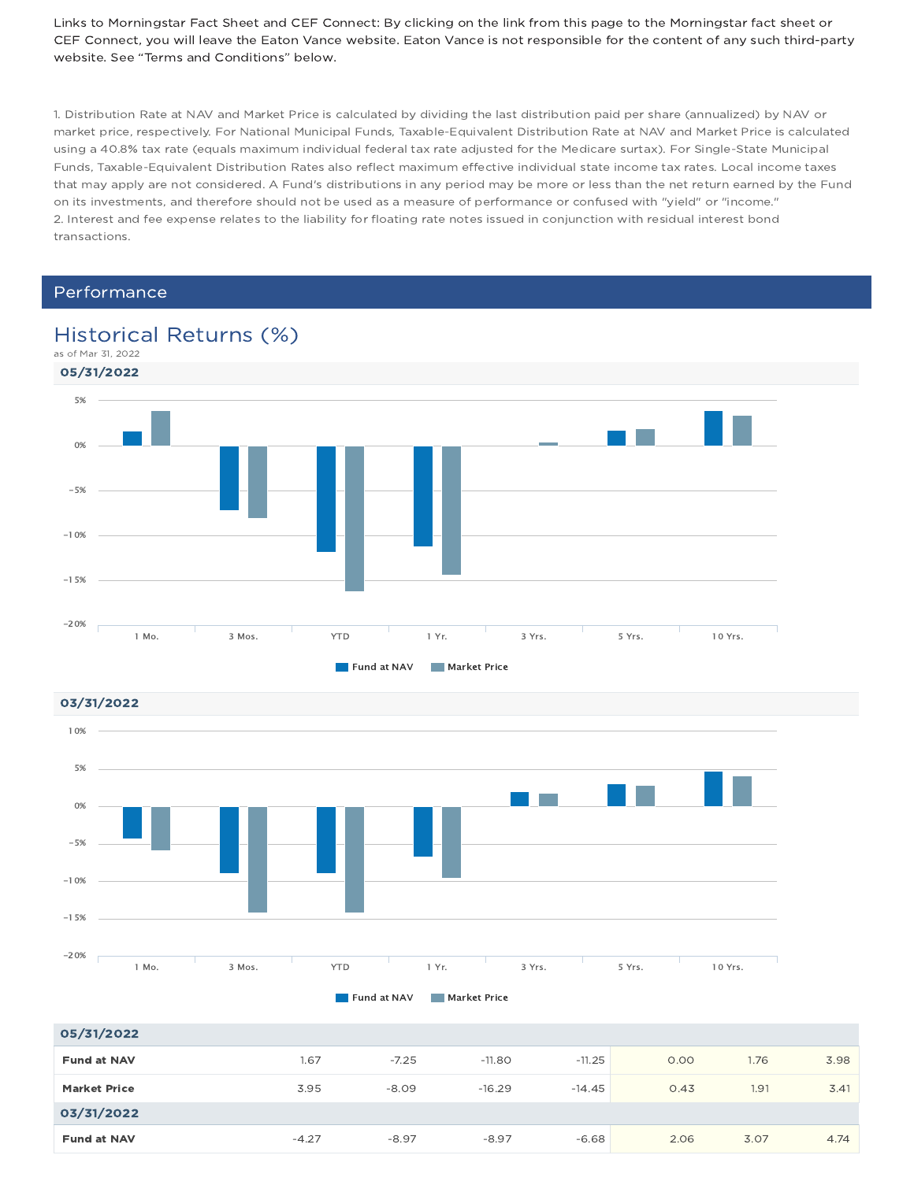Links to Morningstar Fact Sheet and CEF Connect: By clicking on the link from this page to the Morningstar fact sheet or CEF Connect, you will leave the Eaton Vance website. Eaton Vance is not responsible for the content of any such third-party website. See "Terms and Conditions" below.

1. Distribution Rate at NAV and Market Price is calculated by dividing the last distribution paid per share (annualized) by NAV or market price, respectively. For National Municipal Funds, Taxable-Equivalent Distribution Rate at NAV and Market Price is calculated using a 40.8% tax rate (equals maximum individual federal tax rate adjusted for the Medicare surtax). For Single-State Municipal Funds, Taxable-Equivalent Distribution Rates also reflect maximum effective individual state income tax rates. Local income taxes that may apply are not considered. A Fund's distributions in any period may be more or less than the net return earned by the Fund on its investments, and therefore should not be used as a measure of performance or confused with "yield" or "income." 2. Interest and fee expense relates to the liability for floating rate notes issued in conjunction with residual interest bond transactions.

### Performance





| 05/31/2022          |         |         |          |          |      |      |      |
|---------------------|---------|---------|----------|----------|------|------|------|
| <b>Fund at NAV</b>  | 1.67    | $-7.25$ | $-11.80$ | $-11.25$ | 0.00 | 1.76 | 3.98 |
| <b>Market Price</b> | 3.95    | $-8.09$ | $-16.29$ | $-14.45$ | 0.43 | 1.91 | 3.41 |
| 03/31/2022          |         |         |          |          |      |      |      |
| <b>Fund at NAV</b>  | $-4.27$ | $-8.97$ | $-8.97$  | $-6.68$  | 2.06 | 3.07 | 4.74 |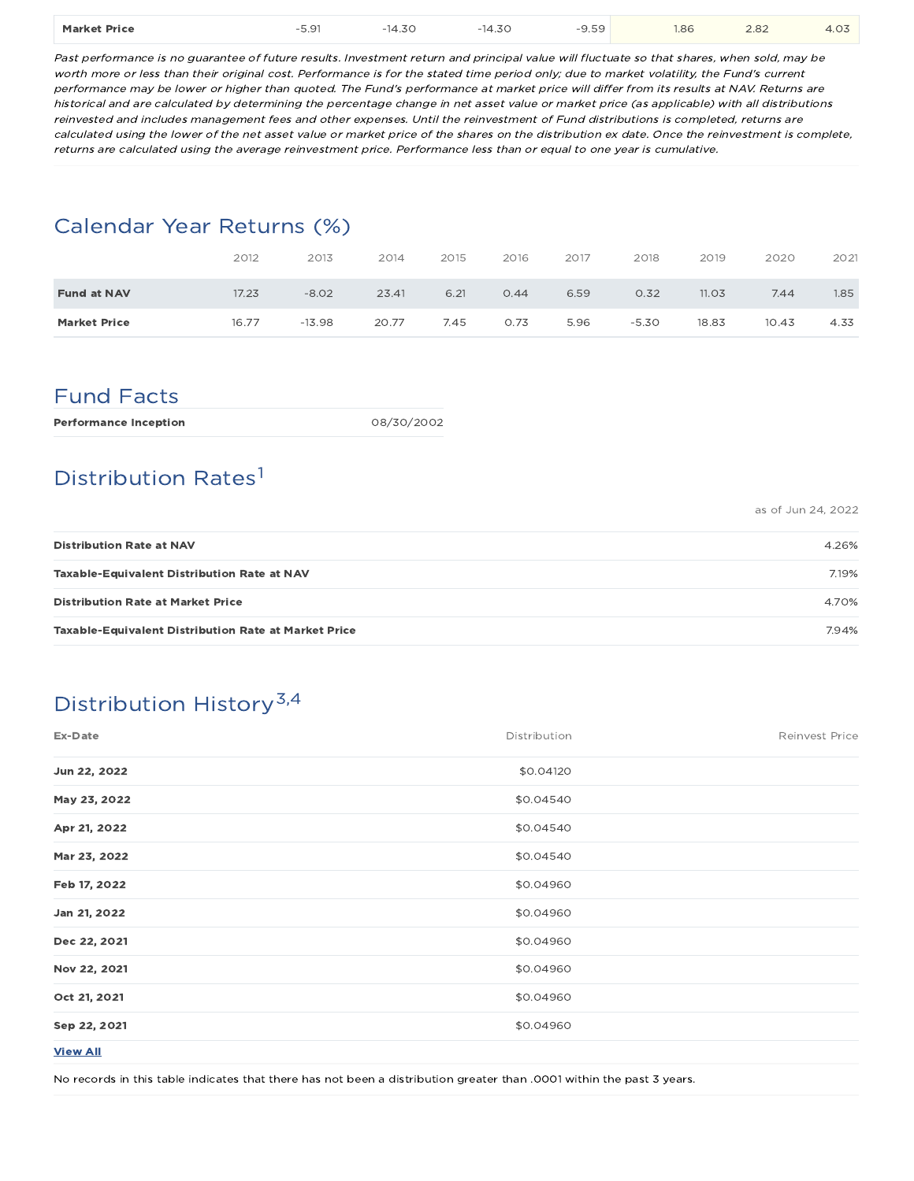| <b>Market Price</b> | $-$ 0.1<br>$\cup$ . $\cup$<br>. | $\cdot$ $\rightarrow$ $\sim$<br>4.SU<br>$-121$ | $-14.30$<br>. | $-$<br>55<br>---<br>. | 1.86<br>$\sim$ $\sim$ $\sim$ | 2.82<br>____ | $\sim$ $-$<br>$r \sim$ |
|---------------------|---------------------------------|------------------------------------------------|---------------|-----------------------|------------------------------|--------------|------------------------|
|---------------------|---------------------------------|------------------------------------------------|---------------|-----------------------|------------------------------|--------------|------------------------|

Past performance is no guarantee of future results. Investment return and principal value will fluctuate so that shares, when sold, may be worth more or less than their original cost. Performance is for the stated time period only; due to market volatility, the Fund's current performance may be lower or higher than quoted. The Fund's performance at market price will differ from its results at NAV. Returns are historical and are calculated by determining the percentage change in net asset value or market price (as applicable) with all distributions reinvested and includes management fees and other expenses. Until the reinvestment of Fund distributions is completed, returns are calculated using the lower of the net asset value or market price of the shares on the distribution ex date. Once the reinvestment is complete, returns are calculated using the average reinvestment price. Performance less than or equal to one year is cumulative.

### Calendar Year Returns (%)

|                     | 2012  | 2013     | 2014  | 2015 | 2016 | 2017 | 2018    | 2019  | 2020  | 2021 |
|---------------------|-------|----------|-------|------|------|------|---------|-------|-------|------|
| <b>Fund at NAV</b>  | 17.23 | $-8.02$  | 23.41 | 6.21 | 0.44 | 6.59 | 0.32    | 11.03 | 7.44  | .85  |
| <b>Market Price</b> | 16.77 | $-13.98$ | 20.77 | 7.45 | 0.73 | 5.96 | $-5.30$ | 18.83 | 10.43 | 4.33 |

### Fund Facts

| 08/30/2002 |
|------------|
|            |

## Distribution Rates<sup>1</sup>

as of Jun 24, 2022

| <b>Distribution Rate at NAV</b>                             | 4.26% |
|-------------------------------------------------------------|-------|
| Taxable-Equivalent Distribution Rate at NAV                 | 7.19% |
| <b>Distribution Rate at Market Price</b>                    | 4.70% |
| <b>Taxable-Equivalent Distribution Rate at Market Price</b> | 7.94% |

# Distribution History<sup>3,4</sup>

| Ex-Date         | Distribution | Reinvest Price |
|-----------------|--------------|----------------|
| Jun 22, 2022    | \$0.04120    |                |
| May 23, 2022    | \$0.04540    |                |
| Apr 21, 2022    | \$0.04540    |                |
| Mar 23, 2022    | \$0.04540    |                |
| Feb 17, 2022    | \$0.04960    |                |
| Jan 21, 2022    | \$0.04960    |                |
| Dec 22, 2021    | \$0.04960    |                |
| Nov 22, 2021    | \$0.04960    |                |
| Oct 21, 2021    | \$0.04960    |                |
| Sep 22, 2021    | \$0.04960    |                |
| <b>View All</b> |              |                |

No records in this table indicates that there has not been a distribution greater than .0001 within the past 3 years.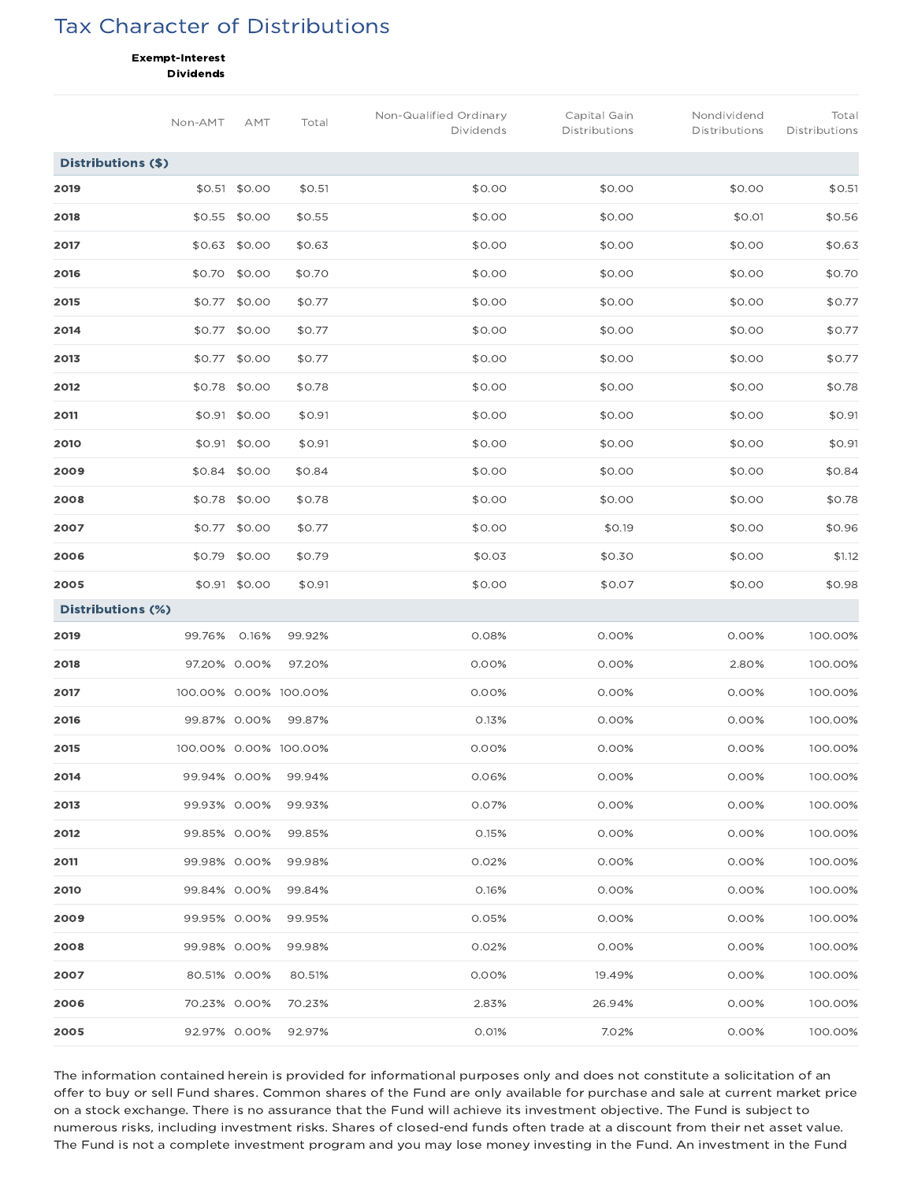## Tax Character of Distributions

Exempt-Interest

Dividends

|                    | Non-AMT      | AMT           | Total                 | Non-Qualified Ordinary<br>Dividends | Capital Gain<br>Distributions | Nondividend<br>Distributions | Total<br>Distributions |
|--------------------|--------------|---------------|-----------------------|-------------------------------------|-------------------------------|------------------------------|------------------------|
| Distributions (\$) |              |               |                       |                                     |                               |                              |                        |
| 2019               |              | \$0.51 \$0.00 | \$0.51                | \$0.00                              | \$0.00                        | \$0.00                       | \$0.51                 |
| 2018               |              | \$0.55 \$0.00 | \$0.55                | \$0.00                              | \$0.00                        | \$0.01                       | \$0.56                 |
| 2017               | \$0.63       | \$0.00        | \$0.63                | \$0.00                              | \$0.00                        | \$0.00                       | \$0.63                 |
| 2016               | \$0.70       | \$0.00        | \$0.70                | \$0.00                              | \$0.00                        | \$0.00                       | \$0.70                 |
| 2015               | \$0.77       | \$0.00        | \$0.77                | \$0.00                              | \$0.00                        | \$0.00                       | \$0.77                 |
| 2014               | \$0.77       | \$0.00        | \$0.77                | \$0.00                              | \$0.00                        | \$0.00                       | \$0.77                 |
| 2013               |              | \$0.77 \$0.00 | \$0.77                | \$0.00                              | \$0.00                        | \$0.00                       | \$0.77                 |
| 2012               |              | \$0.78 \$0.00 | \$0.78                | \$0.00                              | \$0.00                        | \$0.00                       | \$0.78                 |
| 2011               |              | \$0.91 \$0.00 | \$0.91                | \$0.00                              | \$0.00                        | \$0.00                       | \$0.91                 |
| 2010               |              | \$0.91 \$0.00 | \$0.91                | \$0.00                              | \$0.00                        | \$0.00                       | \$0.91                 |
| 2009               | \$0.84       | \$0.00        | \$0.84                | \$0.00                              | \$0.00                        | \$0.00                       | \$0.84                 |
| 2008               | \$0.78       | \$0.00        | \$0.78                | \$0.00                              | \$0.00                        | \$0.00                       | \$0.78                 |
| 2007               |              | \$0.77 \$0.00 | \$0.77                | \$0.00                              | \$0.19                        | \$0.00                       | \$0.96                 |
| 2006               |              | \$0.79 \$0.00 | \$0.79                | \$0.03                              | \$0.30                        | \$0.00                       | \$1.12                 |
| 2005               |              | \$0.91 \$0.00 | \$0.91                | \$0.00                              | \$0.07                        | \$0.00                       | \$0.98                 |
| Distributions (%)  |              |               |                       |                                     |                               |                              |                        |
| 2019               | 99.76%       | 0.16%         | 99.92%                | 0.08%                               | 0.00%                         | 0.00%                        | 100.00%                |
| 2018               | 97.20% 0.00% |               | 97.20%                | 0.00%                               | 0.00%                         | 2.80%                        | 100.00%                |
| 2017               |              |               | 100.00% 0.00% 100.00% | 0.00%                               | 0.00%                         | 0.00%                        | 100.00%                |
| 2016               | 99.87% 0.00% |               | 99.87%                | 0.13%                               | 0.00%                         | 0.00%                        | 100.00%                |
| 2015               |              |               | 100.00% 0.00% 100.00% | 0.00%                               | 0.00%                         | 0.00%                        | 100.00%                |
| 2014               | 99.94% 0.00% |               | 99.94%                | 0.06%                               | 0.00%                         | 0.00%                        | 100.00%                |
| 2013               | 99.93% 0.00% |               | 99.93%                | 0.07%                               | 0.00%                         | 0.00%                        | 100.00%                |
| 2012               | 99.85% 0.00% |               | 99.85%                | 0.15%                               | 0.00%                         | 0.00%                        | 100.00%                |
| 2011               | 99.98% 0.00% |               | 99.98%                | 0.02%                               | 0.00%                         | 0.00%                        | 100.00%                |
| 2010               | 99.84% 0.00% |               | 99.84%                | 0.16%                               | 0.00%                         | 0.00%                        | 100.00%                |
| 2009               | 99.95% 0.00% |               | 99.95%                | 0.05%                               | 0.00%                         | 0.00%                        | 100.00%                |
| 2008               | 99.98% 0.00% |               | 99.98%                | 0.02%                               | 0.00%                         | 0.00%                        | 100.00%                |
| 2007               | 80.51% 0.00% |               | 80.51%                | 0.00%                               | 19.49%                        | 0.00%                        | 100.00%                |
| 2006               | 70.23% 0.00% |               | 70.23%                | 2.83%                               | 26.94%                        | 0.00%                        | 100.00%                |
| 2005               | 92.97% 0.00% |               | 92.97%                | 0.01%                               | 7.02%                         | 0.00%                        | 100.00%                |

The information contained herein is provided for informational purposes only and does not constitute a solicitation of an offer to buy or sell Fund shares. Common shares of the Fund are only available for purchase and sale at current market price on a stock exchange. There is no assurance that the Fund will achieve its investment objective. The Fund is subject to numerous risks, including investment risks. Shares of closed-end funds often trade at a discount from their net asset value. The Fund is not a complete investment program and you may lose money investing in the Fund. An investment in the Fund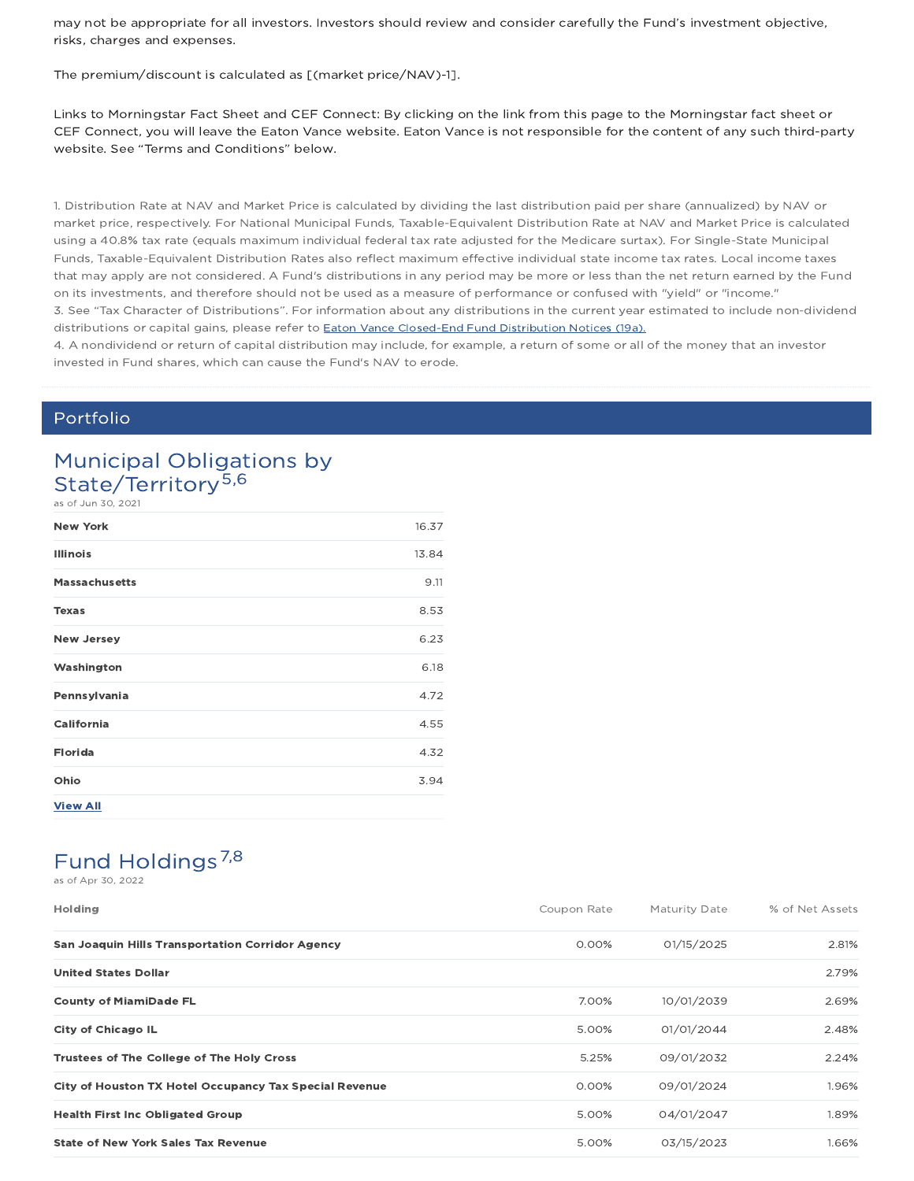may not be appropriate for all investors. Investors should review and consider carefully the Fund's investment objective, risks, charges and expenses.

The premium/discount is calculated as [(market price/NAV)-1].

Links to Morningstar Fact Sheet and CEF Connect: By clicking on the link from this page to the Morningstar fact sheet or CEF Connect, you will leave the Eaton Vance website. Eaton Vance is not responsible for the content of any such third-party website. See "Terms and Conditions" below.

1. Distribution Rate at NAV and Market Price is calculated by dividing the last distribution paid per share (annualized) by NAV or market price, respectively. For National Municipal Funds, Taxable-Equivalent Distribution Rate at NAV and Market Price is calculated using a 40.8% tax rate (equals maximum individual federal tax rate adjusted for the Medicare surtax). For Single-State Municipal Funds, Taxable-Equivalent Distribution Rates also reflect maximum effective individual state income tax rates. Local income taxes that may apply are not considered. A Fund's distributions in any period may be more or less than the net return earned by the Fund on its investments, and therefore should not be used as a measure of performance or confused with "yield" or "income." 3. See "Tax Character of Distributions". For information about any distributions in the current year estimated to include non-dividend distributions or capital gains, please refer to Eaton Vance Closed-End Fund Distribution Notices (19a).

4. A nondividend or return of capital distribution may include, for example, a return of some or all of the money that an investor invested in Fund shares, which can cause the Fund's NAV to erode.

### Portfolio

### Municipal Obligations by State/Territory<sup>5,6</sup>

as of Jun 30, 2021

| <b>New York</b>      | 16.37 |
|----------------------|-------|
| <b>Illinois</b>      | 13.84 |
| <b>Massachusetts</b> | 9.11  |
| <b>Texas</b>         | 8.53  |
| <b>New Jersey</b>    | 6.23  |
| Washington           | 6.18  |
| Pennsylvania         | 4.72  |
| California           | 4.55  |
| <b>Florida</b>       | 4.32  |
| Ohio                 | 3.94  |
| <b>View All</b>      |       |

## Fund Holdings<sup>7,8</sup>

as of Apr 30, 2022

| <b>Holding</b>                                          | Coupon Rate | <b>Maturity Date</b> | % of Net Assets |
|---------------------------------------------------------|-------------|----------------------|-----------------|
| <b>San Joaquin Hills Transportation Corridor Agency</b> | 0.00%       | 01/15/2025           | 2.81%           |
| <b>United States Dollar</b>                             |             |                      | 2.79%           |
| <b>County of MiamiDade FL</b>                           | 7.00%       | 10/01/2039           | 2.69%           |
| <b>City of Chicago IL</b>                               | 5.00%       | 01/01/2044           | 2.48%           |
| <b>Trustees of The College of The Holy Cross</b>        | 5.25%       | 09/01/2032           | 2.24%           |
| City of Houston TX Hotel Occupancy Tax Special Revenue  | 0.00%       | 09/01/2024           | 1.96%           |
| <b>Health First Inc Obligated Group</b>                 | 5.00%       | 04/01/2047           | 1.89%           |
| <b>State of New York Sales Tax Revenue</b>              | 5.00%       | 03/15/2023           | 1.66%           |
|                                                         |             |                      |                 |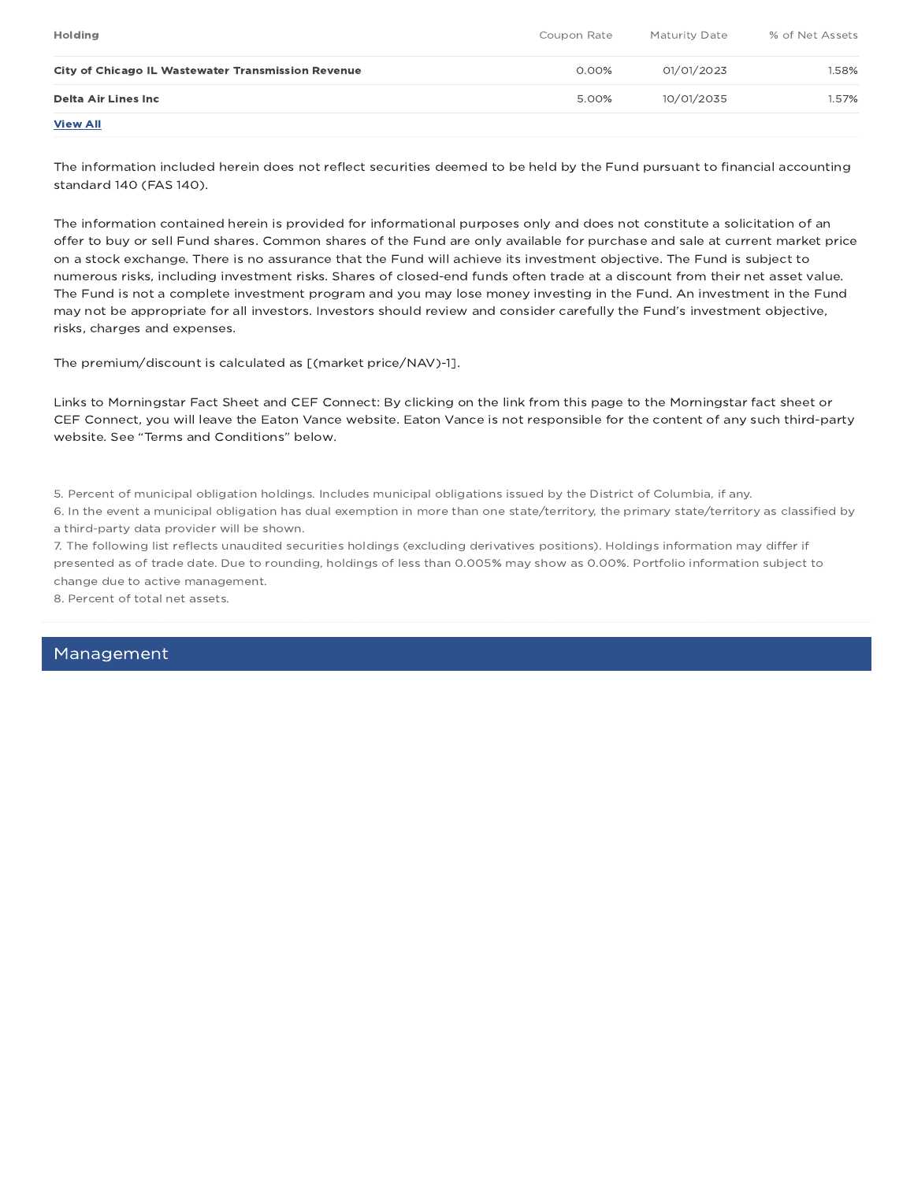| <b>Holding</b>                                     | Coupon Rate | Maturity Date | % of Net Assets |
|----------------------------------------------------|-------------|---------------|-----------------|
| City of Chicago IL Wastewater Transmission Revenue | 0.00%       | 01/01/2023    | 1.58%           |
| Delta Air Lines Inc                                | 5.00%       | 10/01/2035    | 1.57%           |
| <b>View All</b>                                    |             |               |                 |

The information included herein does not reflect securities deemed to be held by the Fund pursuant to financial accounting standard 140 (FAS 140).

The information contained herein is provided for informational purposes only and does not constitute a solicitation of an offer to buy or sell Fund shares. Common shares of the Fund are only available for purchase and sale at current market price on a stock exchange. There is no assurance that the Fund will achieve its investment objective. The Fund is subject to numerous risks, including investment risks. Shares of closed-end funds often trade at a discount from their net asset value. The Fund is not a complete investment program and you may lose money investing in the Fund. An investment in the Fund may not be appropriate for all investors. Investors should review and consider carefully the Fund's investment objective, risks, charges and expenses.

The premium/discount is calculated as [(market price/NAV)-1].

Links to Morningstar Fact Sheet and CEF Connect: By clicking on the link from this page to the Morningstar fact sheet or CEF Connect, you will leave the Eaton Vance website. Eaton Vance is not responsible for the content of any such third-party website. See "Terms and Conditions" below.

5. Percent of municipal obligation holdings. Includes municipal obligations issued by the District of Columbia, if any.

6. In the event a municipal obligation has dual exemption in more than one state/territory, the primary state/territory as classified by a third-party data provider will be shown.

7. The following list reflects unaudited securities holdings (excluding derivatives positions). Holdings information may differ if presented as of trade date. Due to rounding, holdings of less than 0.005% may show as 0.00%. Portfolio information subject to change due to active management.

8. Percent of total net assets.

### Management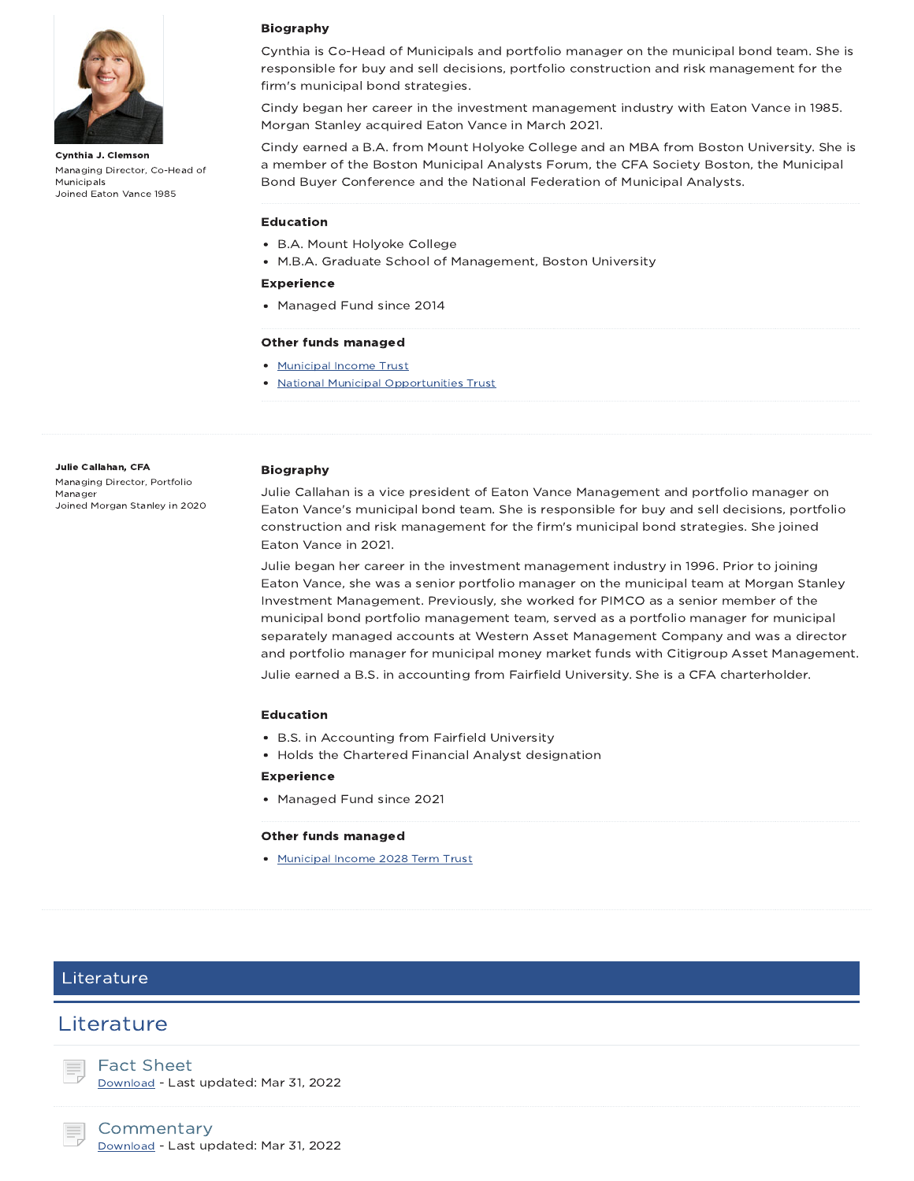

Cynthia J. Clemson Managing Director, Co-Head of Municipals Joined Eaton Vance 1985

### Biography

Cynthia is Co-Head of Municipals and portfolio manager on the municipal bond team. She is responsible for buy and sell decisions, portfolio construction and risk management for the firm's municipal bond strategies.

Cindy began her career in the investment management industry with Eaton Vance in 1985. Morgan Stanley acquired Eaton Vance in March 2021.

Cindy earned a B.A. from Mount Holyoke College and an MBA from Boston University. She is a member of the Boston Municipal Analysts Forum, the CFA Society Boston, the Municipal Bond Buyer Conference and the National Federation of Municipal Analysts.

#### Education

- B.A. Mount Holyoke College
- M.B.A. Graduate School of Management, Boston University

#### Experience

• Managed Fund since 2014

#### Other funds managed

- Municipal Income Trust
- National Municipal Opportunities Trust

#### Julie Callahan, CFA

Managing Director, Portfolio Manager Joined Morgan Stanley in 2020

#### Biography

Julie Callahan is a vice president of Eaton Vance Management and portfolio manager on Eaton Vance's municipal bond team. She is responsible for buy and sell decisions, portfolio construction and risk management for the firm's municipal bond strategies. She joined Eaton Vance in 2021.

Julie began her career in the investment management industry in 1996. Prior to joining Eaton Vance, she was a senior portfolio manager on the municipal team at Morgan Stanley Investment Management. Previously, she worked for PIMCO as a senior member of the municipal bond portfolio management team, served as a portfolio manager for municipal separately managed accounts at Western Asset Management Company and was a director and portfolio manager for municipal money market funds with Citigroup Asset Management. Julie earned a B.S. in accounting from Fairfield University. She is a CFA charterholder.

#### Education

- B.S. in Accounting from Fairfield University
- Holds the Chartered Financial Analyst designation

#### Experience

• Managed Fund since 2021

#### Other funds managed

• Municipal Income 2028 Term Trust

### Literature

### **Literature**

Fact Sheet

Download - Last updated: Mar 31, 2022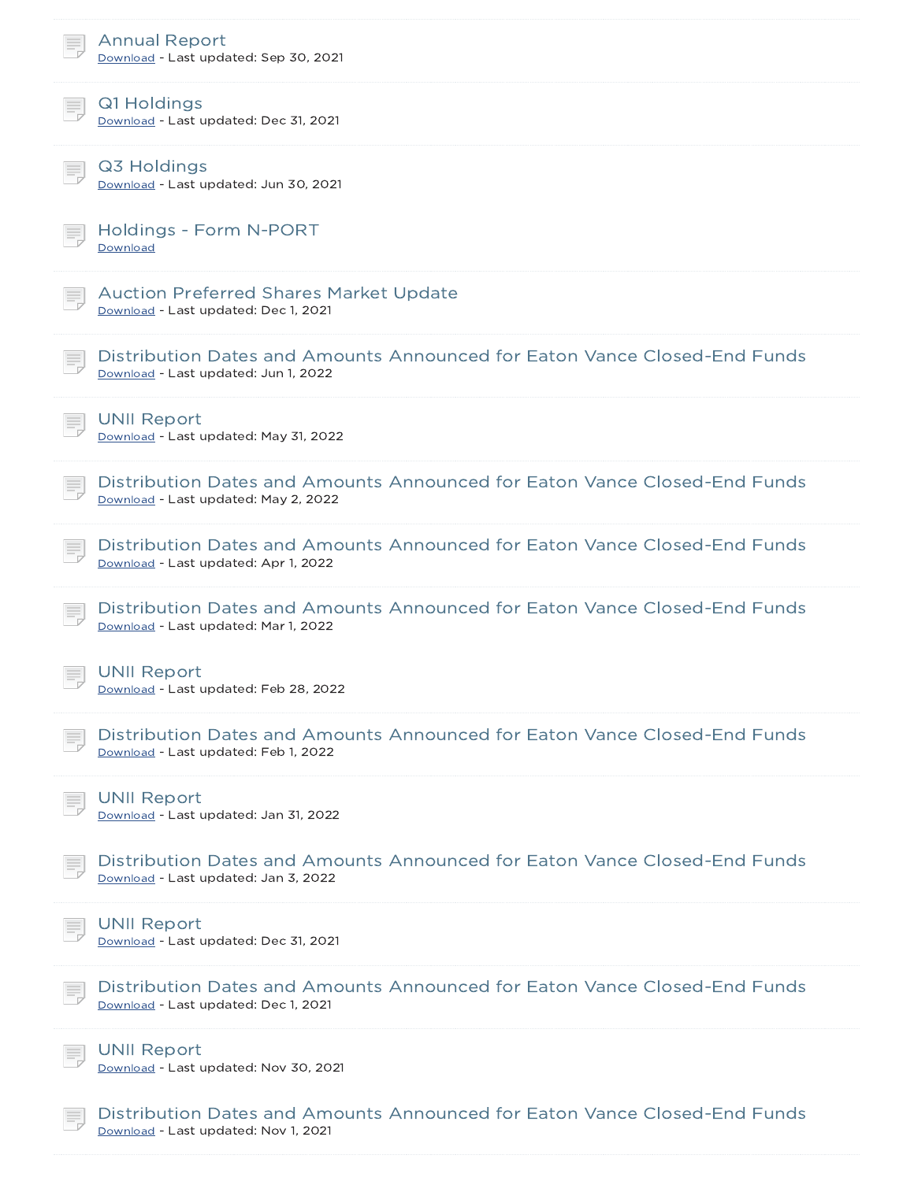| <b>Annual Report</b><br>Download - Last updated: Sep 30, 2021                                                     |
|-------------------------------------------------------------------------------------------------------------------|
| Q1 Holdings<br>Download - Last updated: Dec 31, 2021                                                              |
| Q3 Holdings<br>Download - Last updated: Jun 30, 2021                                                              |
| <b>Holdings - Form N-PORT</b><br>Download                                                                         |
| <b>Auction Preferred Shares Market Update</b><br>Download - Last updated: Dec 1, 2021                             |
| Distribution Dates and Amounts Announced for Eaton Vance Closed-End Funds<br>Download - Last updated: Jun 1, 2022 |
| <b>UNII Report</b><br>Download - Last updated: May 31, 2022                                                       |
| Distribution Dates and Amounts Announced for Eaton Vance Closed-End Funds<br>Download - Last updated: May 2, 2022 |
| Distribution Dates and Amounts Announced for Eaton Vance Closed-End Funds<br>Download - Last updated: Apr 1, 2022 |
| Distribution Dates and Amounts Announced for Eaton Vance Closed-End Funds<br>Download - Last updated: Mar 1, 2022 |
| <b>UNII Report</b><br>Download - Last updated: Feb 28, 2022                                                       |
| Distribution Dates and Amounts Announced for Eaton Vance Closed-End Funds<br>Download - Last updated: Feb 1, 2022 |
| <b>UNII Report</b><br>Download - Last updated: Jan 31, 2022                                                       |
| Distribution Dates and Amounts Announced for Eaton Vance Closed-End Funds<br>Download - Last updated: Jan 3, 2022 |
| <b>UNII Report</b><br>Download - Last updated: Dec 31, 2021                                                       |
| Distribution Dates and Amounts Announced for Eaton Vance Closed-End Funds<br>Download - Last updated: Dec 1, 2021 |
| <b>UNII Report</b><br>Download - Last updated: Nov 30, 2021                                                       |
| Distribution Dates and Amounts Announced for Eaton Vance Closed-End Funds<br>Download - Last updated: Nov 1, 2021 |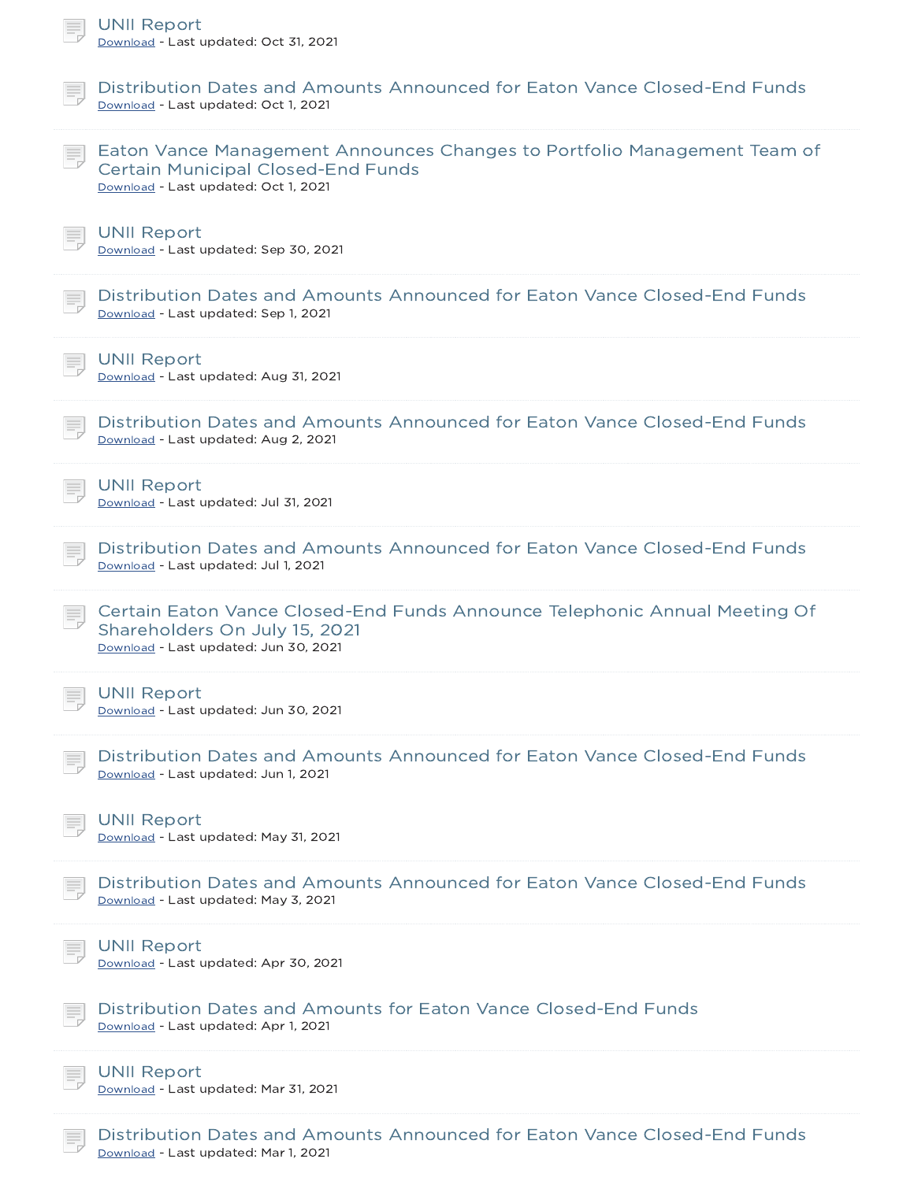| <b>UNII Report</b><br>Download - Last updated: Oct 31, 2021                                                                                                   |
|---------------------------------------------------------------------------------------------------------------------------------------------------------------|
| Distribution Dates and Amounts Announced for Eaton Vance Closed-End Funds<br>Download - Last updated: Oct 1, 2021                                             |
| Eaton Vance Management Announces Changes to Portfolio Management Team of<br><b>Certain Municipal Closed-End Funds</b><br>Download - Last updated: Oct 1, 2021 |
| <b>UNII Report</b><br>Download - Last updated: Sep 30, 2021                                                                                                   |
| Distribution Dates and Amounts Announced for Eaton Vance Closed-End Funds<br>Download - Last updated: Sep 1, 2021                                             |
| <b>UNII Report</b><br>Download - Last updated: Aug 31, 2021                                                                                                   |
| Distribution Dates and Amounts Announced for Eaton Vance Closed-End Funds<br>Download - Last updated: Aug 2, 2021                                             |
| <b>UNII Report</b><br>Download - Last updated: Jul 31, 2021                                                                                                   |
| Distribution Dates and Amounts Announced for Eaton Vance Closed-End Funds<br>Download - Last updated: Jul 1, 2021                                             |
| Certain Eaton Vance Closed-End Funds Announce Telephonic Annual Meeting Of<br>Shareholders On July 15, 2021<br>Download - Last updated: Jun 30, 2021          |
| <b>UNII Report</b><br>Download - Last updated: Jun 30, 2021                                                                                                   |
| Distribution Dates and Amounts Announced for Eaton Vance Closed-End Funds<br>Download - Last updated: Jun 1, 2021                                             |
| <b>UNII Report</b><br>Download - Last updated: May 31, 2021                                                                                                   |
| Distribution Dates and Amounts Announced for Eaton Vance Closed-End Funds<br>Download - Last updated: May 3, 2021                                             |
| <b>UNII Report</b><br>Download - Last updated: Apr 30, 2021                                                                                                   |
| Distribution Dates and Amounts for Eaton Vance Closed-End Funds<br>Download - Last updated: Apr 1, 2021                                                       |
| <b>UNII Report</b><br>Download - Last updated: Mar 31, 2021                                                                                                   |
| Distribution Dates and Amounts Announced for Eaton Vance Closed-End Funds                                                                                     |

Download - Last updated: Mar 1, 2021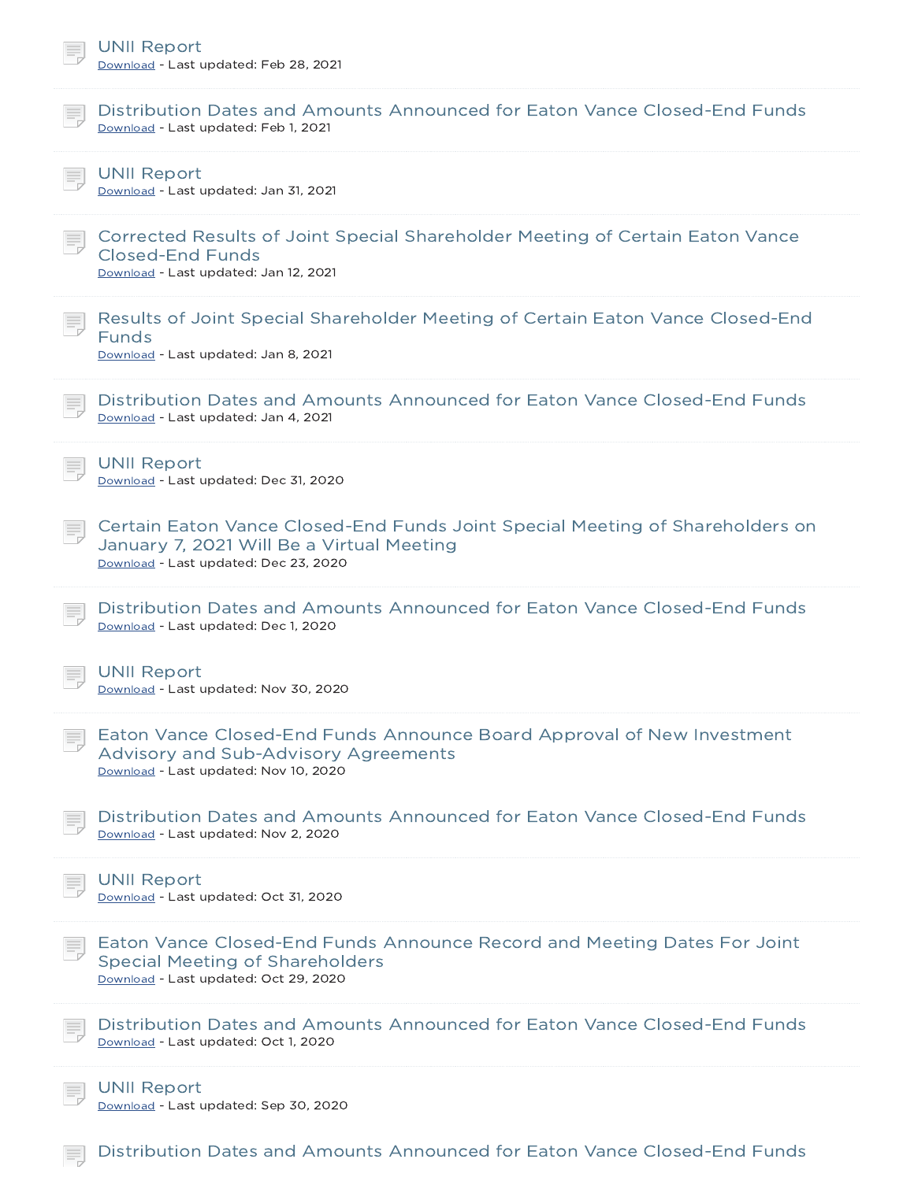| <b>UNII Report</b><br>Download - Last updated: Feb 28, 2021                                                                                                         |
|---------------------------------------------------------------------------------------------------------------------------------------------------------------------|
| Distribution Dates and Amounts Announced for Eaton Vance Closed-End Funds<br>Download - Last updated: Feb 1, 2021                                                   |
| <b>UNII Report</b><br>Download - Last updated: Jan 31, 2021                                                                                                         |
| Corrected Results of Joint Special Shareholder Meeting of Certain Eaton Vance<br><b>Closed-End Funds</b><br>Download - Last updated: Jan 12, 2021                   |
| Results of Joint Special Shareholder Meeting of Certain Eaton Vance Closed-End<br><b>Funds</b><br>Download - Last updated: Jan 8, 2021                              |
| Distribution Dates and Amounts Announced for Eaton Vance Closed-End Funds<br>Download - Last updated: Jan 4, 2021                                                   |
| <b>UNII Report</b><br>Download - Last updated: Dec 31, 2020                                                                                                         |
| Certain Eaton Vance Closed-End Funds Joint Special Meeting of Shareholders on<br>January 7, 2021 Will Be a Virtual Meeting<br>Download - Last updated: Dec 23, 2020 |
| Distribution Dates and Amounts Announced for Eaton Vance Closed-End Funds<br>Download - Last updated: Dec 1, 2020                                                   |
| <b>UNII Report</b><br>Download - Last updated: Nov 30, 2020                                                                                                         |
| Eaton Vance Closed-End Funds Announce Board Approval of New Investment<br>Advisory and Sub-Advisory Agreements<br>Download - Last updated: Nov 10, 2020             |
| Distribution Dates and Amounts Announced for Eaton Vance Closed-End Funds<br>Download - Last updated: Nov 2, 2020                                                   |
| <b>UNII Report</b><br>Download - Last updated: Oct 31, 2020                                                                                                         |
| Eaton Vance Closed-End Funds Announce Record and Meeting Dates For Joint<br><b>Special Meeting of Shareholders</b><br>Download - Last updated: Oct 29, 2020         |
| Distribution Dates and Amounts Announced for Eaton Vance Closed-End Funds<br>Download - Last updated: Oct 1, 2020                                                   |
| <b>UNII Report</b><br>Download - Last updated: Sep 30, 2020                                                                                                         |

**Distribution Dates and Amounts Announced for Eaton Vance Closed-End Funds**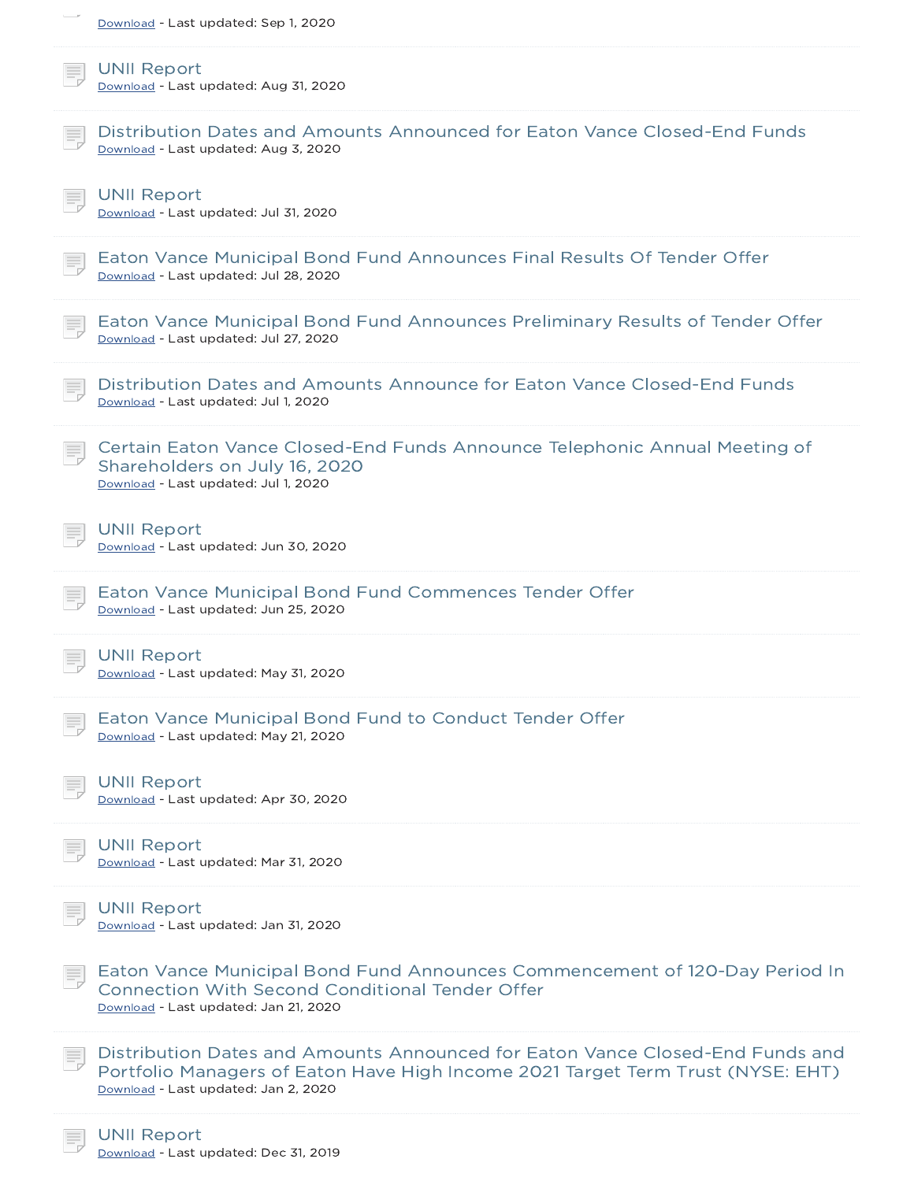| Download - Last updated: Sep 1, 2020                                                                                                                                                                     |
|----------------------------------------------------------------------------------------------------------------------------------------------------------------------------------------------------------|
| <b>UNII Report</b><br>Download - Last updated: Aug 31, 2020                                                                                                                                              |
| Distribution Dates and Amounts Announced for Eaton Vance Closed-End Funds<br>Download - Last updated: Aug 3, 2020                                                                                        |
| <b>UNII Report</b><br>Download - Last updated: Jul 31, 2020                                                                                                                                              |
| Eaton Vance Municipal Bond Fund Announces Final Results Of Tender Offer<br>Download - Last updated: Jul 28, 2020                                                                                         |
| Eaton Vance Municipal Bond Fund Announces Preliminary Results of Tender Offer<br>Download - Last updated: Jul 27, 2020                                                                                   |
| Distribution Dates and Amounts Announce for Eaton Vance Closed-End Funds<br>Download - Last updated: Jul 1, 2020                                                                                         |
| Certain Eaton Vance Closed-End Funds Announce Telephonic Annual Meeting of<br>Shareholders on July 16, 2020<br>Download - Last updated: Jul 1, 2020                                                      |
| <b>UNII Report</b><br>Download - Last updated: Jun 30, 2020                                                                                                                                              |
| Eaton Vance Municipal Bond Fund Commences Tender Offer<br>Download - Last updated: Jun 25, 2020                                                                                                          |
| <b>UNII Report</b><br><u> Download</u> - Last updated: May 31, 2020                                                                                                                                      |
| Eaton Vance Municipal Bond Fund to Conduct Tender Offer<br>Download - Last updated: May 21, 2020                                                                                                         |
| <b>UNII Report</b><br>Download - Last updated: Apr 30, 2020                                                                                                                                              |
| <b>UNII Report</b><br>Download - Last updated: Mar 31, 2020                                                                                                                                              |
| <b>UNII Report</b><br>Download - Last updated: Jan 31, 2020                                                                                                                                              |
| Eaton Vance Municipal Bond Fund Announces Commencement of 120-Day Period In<br><b>Connection With Second Conditional Tender Offer</b><br>Download - Last updated: Jan 21, 2020                           |
| Distribution Dates and Amounts Announced for Eaton Vance Closed-End Funds and<br>Portfolio Managers of Eaton Have High Income 2021 Target Term Trust (NYSE: EHT)<br>Download - Last updated: Jan 2, 2020 |
|                                                                                                                                                                                                          |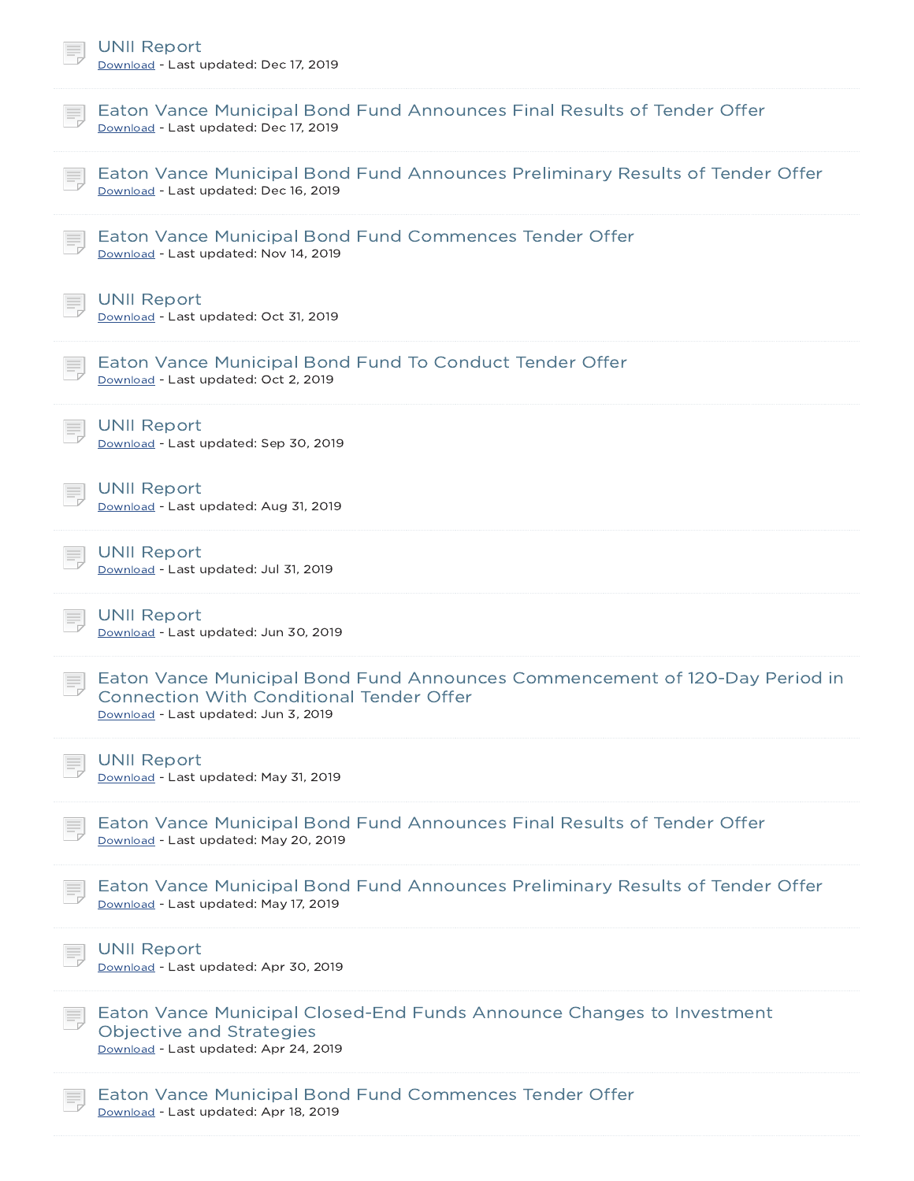| <b>UNII Report</b><br>Download - Last updated: Dec 17, 2019                                                                                                            |  |
|------------------------------------------------------------------------------------------------------------------------------------------------------------------------|--|
| Eaton Vance Municipal Bond Fund Announces Final Results of Tender Offer<br>Download - Last updated: Dec 17, 2019                                                       |  |
| Eaton Vance Municipal Bond Fund Announces Preliminary Results of Tender Offer<br>Download - Last updated: Dec 16, 2019                                                 |  |
| Eaton Vance Municipal Bond Fund Commences Tender Offer<br>Download - Last updated: Nov 14, 2019                                                                        |  |
| <b>UNII Report</b><br>Download - Last updated: Oct 31, 2019                                                                                                            |  |
| Eaton Vance Municipal Bond Fund To Conduct Tender Offer<br>Download - Last updated: Oct 2, 2019                                                                        |  |
| <b>UNII Report</b><br>Download - Last updated: Sep 30, 2019                                                                                                            |  |
| <b>UNII Report</b><br>Download - Last updated: Aug 31, 2019                                                                                                            |  |
| <b>UNII Report</b><br>Download - Last updated: Jul 31, 2019                                                                                                            |  |
| <b>UNII Report</b><br>Download - Last updated: Jun 30, 2019                                                                                                            |  |
| Eaton Vance Municipal Bond Fund Announces Commencement of 120-Day Period in<br><b>Connection With Conditional Tender Offer</b><br>Download - Last updated: Jun 3, 2019 |  |
| <b>UNII Report</b><br>Download - Last updated: May 31, 2019                                                                                                            |  |
| Eaton Vance Municipal Bond Fund Announces Final Results of Tender Offer<br>Download - Last updated: May 20, 2019                                                       |  |
| Eaton Vance Municipal Bond Fund Announces Preliminary Results of Tender Offer<br>Download - Last updated: May 17, 2019                                                 |  |
| <b>UNII Report</b><br>Download - Last updated: Apr 30, 2019                                                                                                            |  |
| Eaton Vance Municipal Closed-End Funds Announce Changes to Investment<br>Objective and Strategies<br>Download - Last updated: Apr 24, 2019                             |  |
| Eaton Vance Municipal Bond Fund Commences Tender Offer<br>Download - Last updated: Apr 18, 2019                                                                        |  |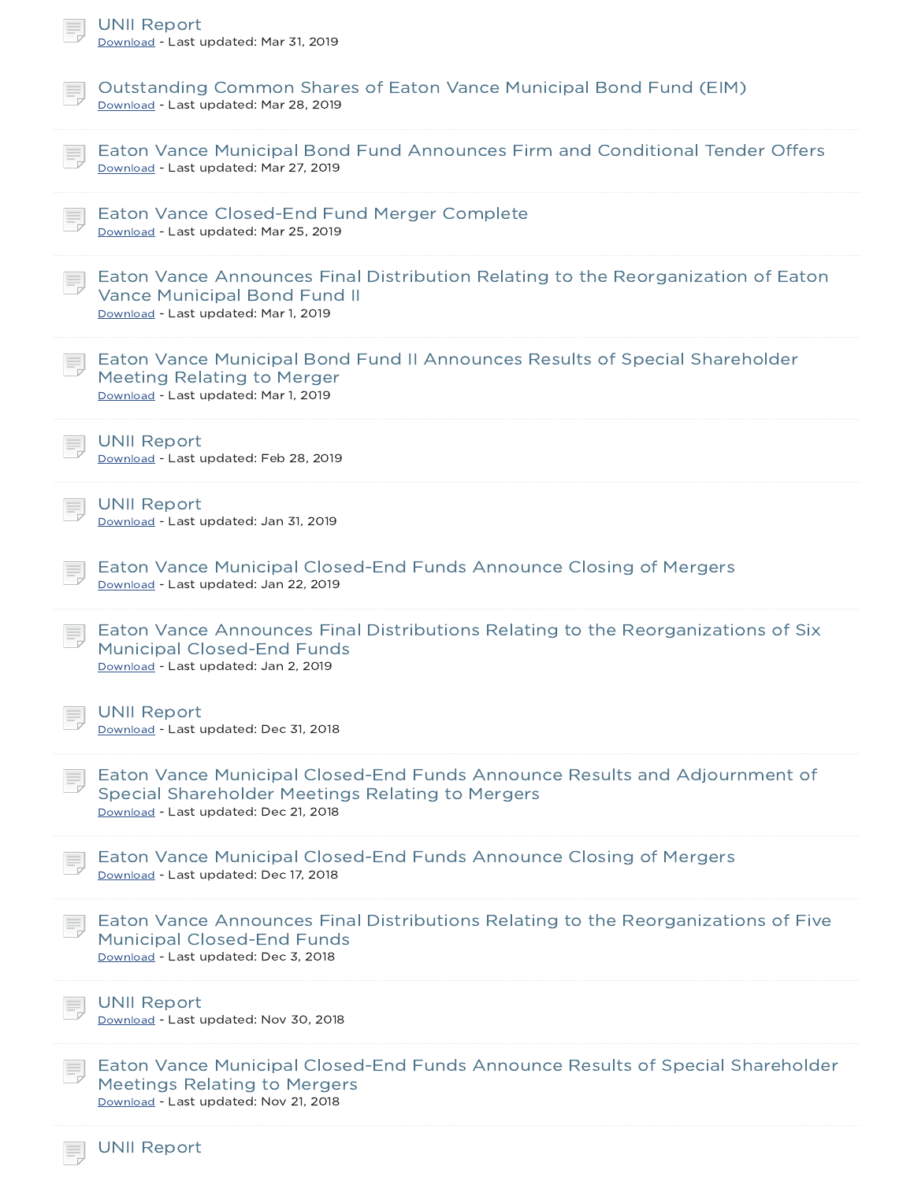| <b>UNII Report</b><br>Download - Last updated: Mar 31, 2019                                                                                                             |
|-------------------------------------------------------------------------------------------------------------------------------------------------------------------------|
| Outstanding Common Shares of Eaton Vance Municipal Bond Fund (EIM)<br>Download - Last updated: Mar 28, 2019                                                             |
| Eaton Vance Municipal Bond Fund Announces Firm and Conditional Tender Offers<br>Download - Last updated: Mar 27, 2019                                                   |
| Eaton Vance Closed-End Fund Merger Complete<br>Download - Last updated: Mar 25, 2019                                                                                    |
| Eaton Vance Announces Final Distribution Relating to the Reorganization of Eaton<br><b>Vance Municipal Bond Fund II</b><br>Download - Last updated: Mar 1, 2019         |
| Eaton Vance Municipal Bond Fund II Announces Results of Special Shareholder<br><b>Meeting Relating to Merger</b><br>Download - Last updated: Mar 1, 2019                |
| <b>UNII Report</b><br>Download - Last updated: Feb 28, 2019                                                                                                             |
| <b>UNII Report</b><br>Download - Last updated: Jan 31, 2019                                                                                                             |
| Eaton Vance Municipal Closed-End Funds Announce Closing of Mergers<br>Download - Last updated: Jan 22, 2019                                                             |
| Eaton Vance Announces Final Distributions Relating to the Reorganizations of Six<br><b>Municipal Closed-End Funds</b><br>Download - Last updated: Jan 2, 2019           |
| <b>UNII Report</b><br>Download - Last updated: Dec 31, 2018                                                                                                             |
| Eaton Vance Municipal Closed-End Funds Announce Results and Adjournment of<br>Special Shareholder Meetings Relating to Mergers<br>Download - Last updated: Dec 21, 2018 |
| Eaton Vance Municipal Closed-End Funds Announce Closing of Mergers<br>Download - Last updated: Dec 17, 2018                                                             |
| Eaton Vance Announces Final Distributions Relating to the Reorganizations of Five<br><b>Municipal Closed-End Funds</b><br>Download - Last updated: Dec 3, 2018          |
| <b>UNII Report</b><br>Download - Last updated: Nov 30, 2018                                                                                                             |
| Eaton Vance Municipal Closed-End Funds Announce Results of Special Shareholder<br><b>Meetings Relating to Mergers</b><br>Download - Last updated: Nov 21, 2018          |
| <b>UNII Report</b>                                                                                                                                                      |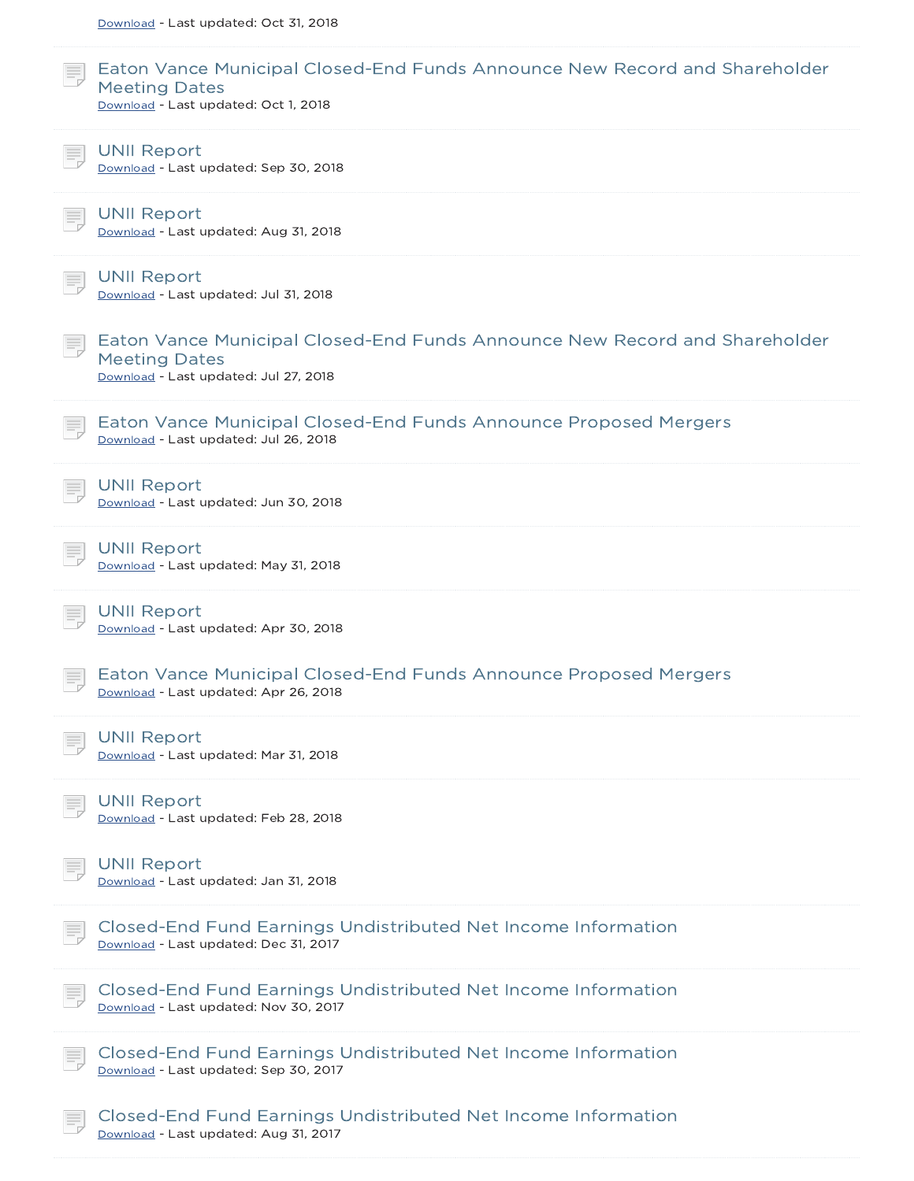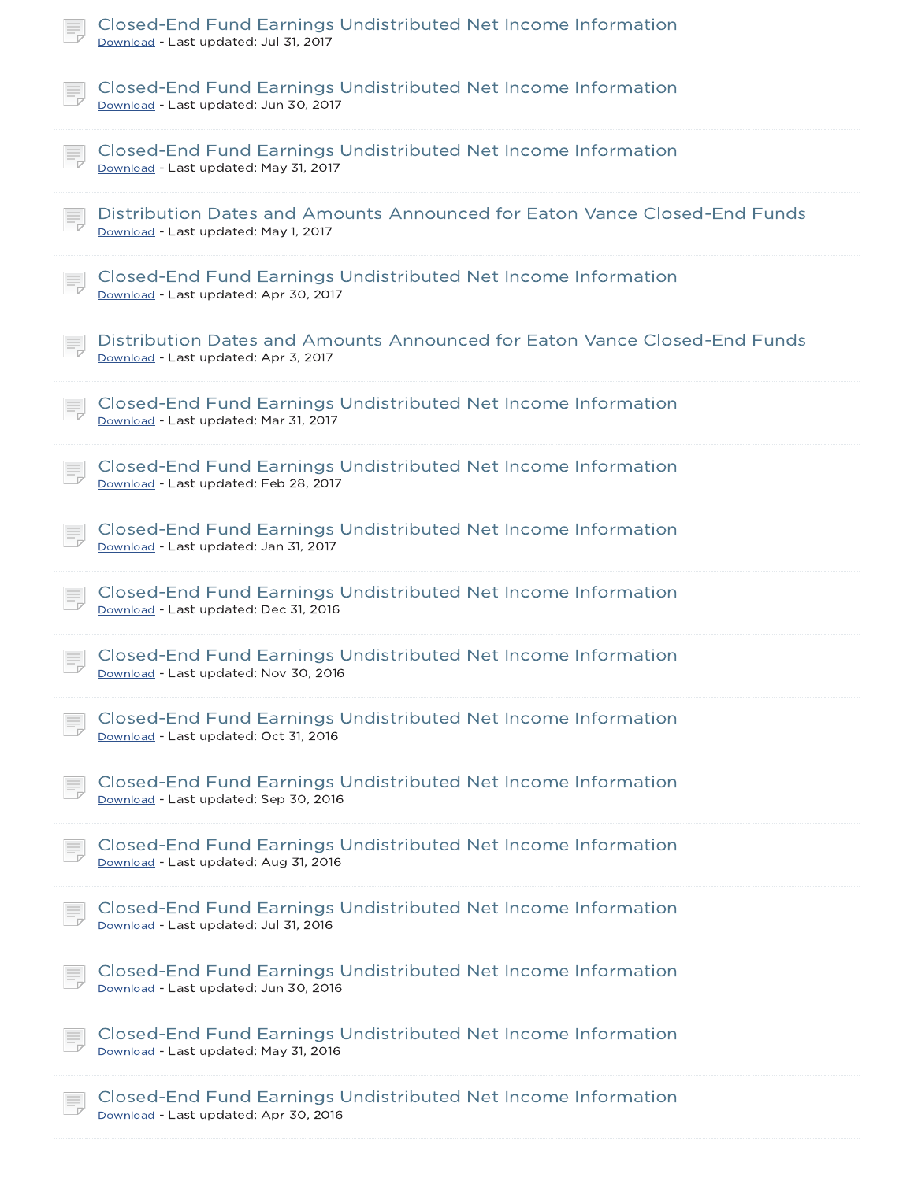| Closed-End Fund Earnings Undistributed Net Income Information<br>Download - Last updated: Jul 31, 2017            |
|-------------------------------------------------------------------------------------------------------------------|
| Closed-End Fund Earnings Undistributed Net Income Information<br>Download - Last updated: Jun 30, 2017            |
| Closed-End Fund Earnings Undistributed Net Income Information<br>Download - Last updated: May 31, 2017            |
| Distribution Dates and Amounts Announced for Eaton Vance Closed-End Funds<br>Download - Last updated: May 1, 2017 |
| Closed-End Fund Earnings Undistributed Net Income Information<br>Download - Last updated: Apr 30, 2017            |
| Distribution Dates and Amounts Announced for Eaton Vance Closed-End Funds<br>Download - Last updated: Apr 3, 2017 |
| Closed-End Fund Earnings Undistributed Net Income Information<br>Download - Last updated: Mar 31, 2017            |
| Closed-End Fund Earnings Undistributed Net Income Information<br>Download - Last updated: Feb 28, 2017            |
| Closed-End Fund Earnings Undistributed Net Income Information<br>Download - Last updated: Jan 31, 2017            |
| Closed-End Fund Earnings Undistributed Net Income Information<br>Download - Last updated: Dec 31, 2016            |
| Closed-End Fund Earnings Undistributed Net Income Information<br>Download - Last updated: Nov 30, 2016            |
| Closed-End Fund Earnings Undistributed Net Income Information<br>Download - Last updated: Oct 31, 2016            |
| Closed-End Fund Earnings Undistributed Net Income Information<br>Download - Last updated: Sep 30, 2016            |
| Closed-End Fund Earnings Undistributed Net Income Information<br>Download - Last updated: Aug 31, 2016            |
| Closed-End Fund Earnings Undistributed Net Income Information<br>Download - Last updated: Jul 31, 2016            |
| Closed-End Fund Earnings Undistributed Net Income Information<br>Download - Last updated: Jun 30, 2016            |
| Closed-End Fund Earnings Undistributed Net Income Information<br>Download - Last updated: May 31, 2016            |
| Closed-End Fund Earnings Undistributed Net Income Information<br>Download - Last updated: Apr 30, 2016            |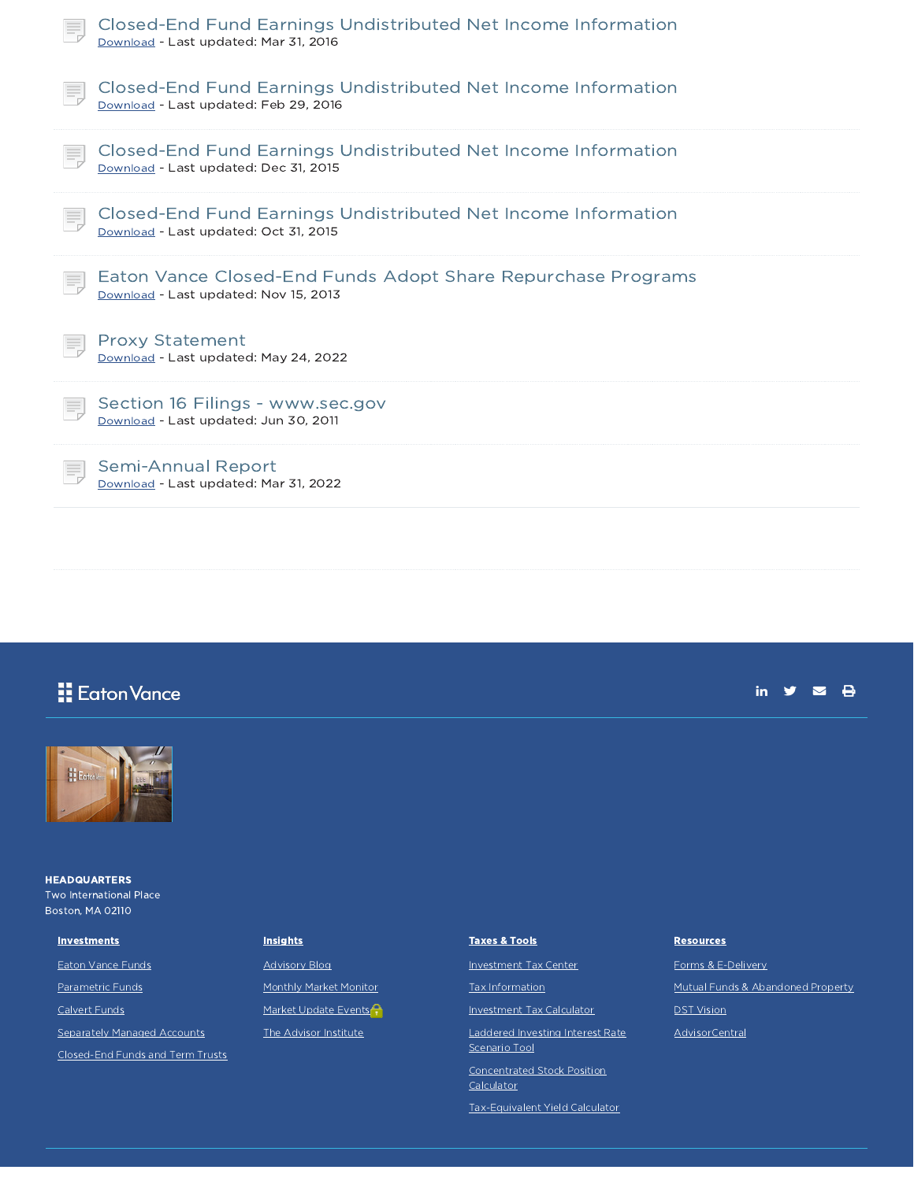| Closed-End Fund Earnings Undistributed Net Income Information<br>Download - Last updated: Mar 31, 2016 |
|--------------------------------------------------------------------------------------------------------|
| Closed-End Fund Earnings Undistributed Net Income Information<br>Download - Last updated: Feb 29, 2016 |
| Closed-End Fund Earnings Undistributed Net Income Information<br>Download - Last updated: Dec 31, 2015 |
| Closed-End Fund Earnings Undistributed Net Income Information<br>Download - Last updated: Oct 31, 2015 |
| Eaton Vance Closed-End Funds Adopt Share Repurchase Programs<br>Download - Last updated: Nov 15, 2013  |
| <b>Proxy Statement</b><br>Download - Last updated: May 24, 2022                                        |
| Section 16 Filings - www.sec.gov<br>Download - Last updated: Jun 30, 2011                              |
| <b>Semi-Annual Report</b><br>Download - Last updated: Mar 31, 2022                                     |

# **H** Eaton Vance





**HEADQUARTERS** Two International Place Boston, MA 02110

Eaton Vance Funds Parametric Funds Calvert Funds

**Investments** 

Separately Managed Accounts

Closed-End Funds and Term Trusts

### **Insights**

Advisory Blog Monthly Market Monitor Market Update Events<sup>2</sup> The Advisor Institute

# Taxes & Tools

Investment Tax Center

Tax Information

Investment Tax Calculator

Laddered Investing Interest Rate Scenario Tool

Concentrated Stock Position

**Calculator** 

Tax-Equivalent Yield Calculator

#### **Resources**

Forms & E-Delivery Mutual Funds & Abandoned Property DST Vision

AdvisorCentral